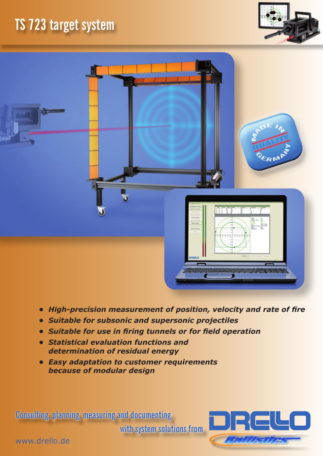## **TS 723 target system**





- *• High-precision measurement of position, velocity and rate of fire*
- *• Suitable for subsonic and supersonic projectiles*
- *• Suitable for use in firing tunnels or for field operation*
- *• Statistical evaluation functions and determination of residual energy*
- *• Easy adaptation to customer requirements because of modular design*

**Consulting, planning, measuring and documenting** 

**with system solutions from**